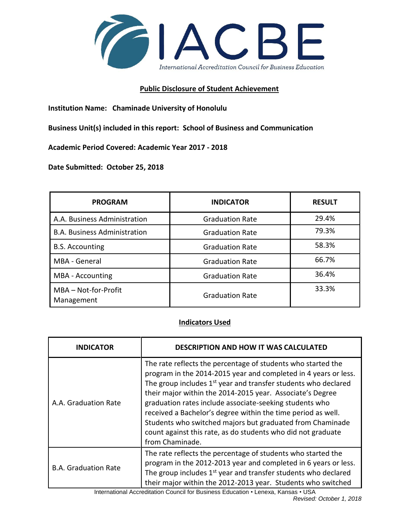

## **Public Disclosure of Student Achievement**

**Institution Name: Chaminade University of Honolulu**

**Business Unit(s) included in this report: School of Business and Communication**

**Academic Period Covered: Academic Year 2017 - 2018**

**Date Submitted: October 25, 2018**

| <b>PROGRAM</b>                      | <b>INDICATOR</b>       | <b>RESULT</b> |
|-------------------------------------|------------------------|---------------|
| A.A. Business Administration        | <b>Graduation Rate</b> | 29.4%         |
| <b>B.A. Business Administration</b> | <b>Graduation Rate</b> | 79.3%         |
| <b>B.S. Accounting</b>              | <b>Graduation Rate</b> | 58.3%         |
| MBA - General                       | <b>Graduation Rate</b> | 66.7%         |
| MBA - Accounting                    | <b>Graduation Rate</b> | 36.4%         |
| MBA - Not-for-Profit<br>Management  | <b>Graduation Rate</b> | 33.3%         |

## **Indicators Used**

| <b>INDICATOR</b>            | <b>DESCRIPTION AND HOW IT WAS CALCULATED</b>                                                                                                                                                                                                                                                                                                                                                                                                                                                                                                          |  |
|-----------------------------|-------------------------------------------------------------------------------------------------------------------------------------------------------------------------------------------------------------------------------------------------------------------------------------------------------------------------------------------------------------------------------------------------------------------------------------------------------------------------------------------------------------------------------------------------------|--|
| A.A. Graduation Rate        | The rate reflects the percentage of students who started the<br>program in the 2014-2015 year and completed in 4 years or less.<br>The group includes 1 <sup>st</sup> year and transfer students who declared<br>their major within the 2014-2015 year. Associate's Degree<br>graduation rates include associate-seeking students who<br>received a Bachelor's degree within the time period as well.<br>Students who switched majors but graduated from Chaminade<br>count against this rate, as do students who did not graduate<br>from Chaminade. |  |
| <b>B.A. Graduation Rate</b> | The rate reflects the percentage of students who started the<br>program in the 2012-2013 year and completed in 6 years or less.<br>The group includes 1 <sup>st</sup> year and transfer students who declared<br>their major within the 2012-2013 year. Students who switched                                                                                                                                                                                                                                                                         |  |